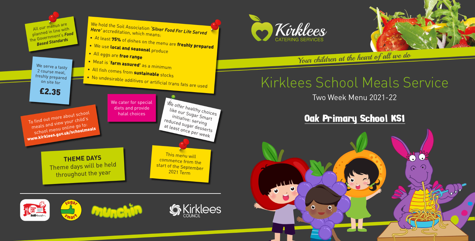